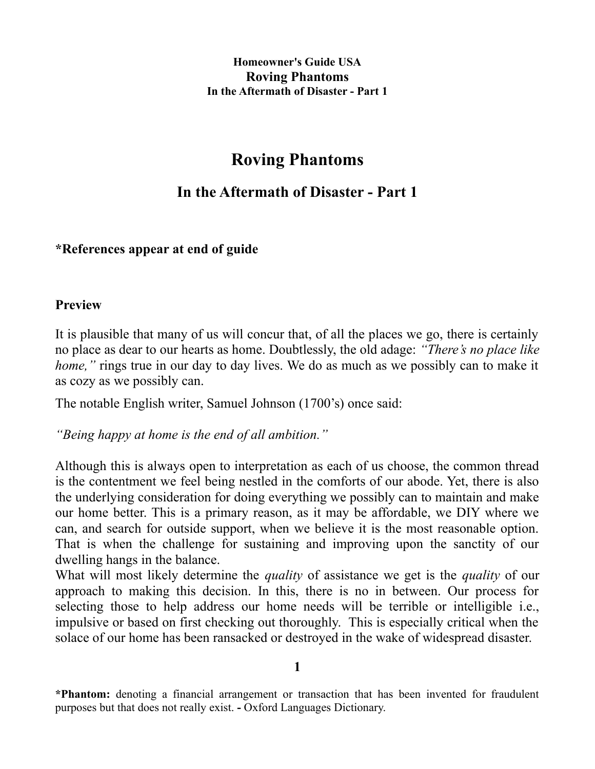# **Roving Phantoms**

## **In the Aftermath of Disaster - Part 1**

## **\*References appear at end of guide**

#### **Preview**

It is plausible that many of us will concur that, of all the places we go, there is certainly no place as dear to our hearts as home. Doubtlessly, the old adage: *"There's no place like home,*" rings true in our day to day lives. We do as much as we possibly can to make it as cozy as we possibly can.

The notable English writer, Samuel Johnson (1700's) once said:

*"Being happy at home is the end of all ambition."* 

Although this is always open to interpretation as each of us choose, the common thread is the contentment we feel being nestled in the comforts of our abode. Yet, there is also the underlying consideration for doing everything we possibly can to maintain and make our home better. This is a primary reason, as it may be affordable, we DIY where we can, and search for outside support, when we believe it is the most reasonable option. That is when the challenge for sustaining and improving upon the sanctity of our dwelling hangs in the balance.

What will most likely determine the *quality* of assistance we get is the *quality* of our approach to making this decision. In this, there is no in between. Our process for selecting those to help address our home needs will be terrible or intelligible i.e., impulsive or based on first checking out thoroughly. This is especially critical when the solace of our home has been ransacked or destroyed in the wake of widespread disaster.

**1**

**<sup>\*</sup>Phantom:** denoting a financial arrangement or transaction that has been invented for fraudulent purposes but that does not really exist. **-** Oxford Languages Dictionary.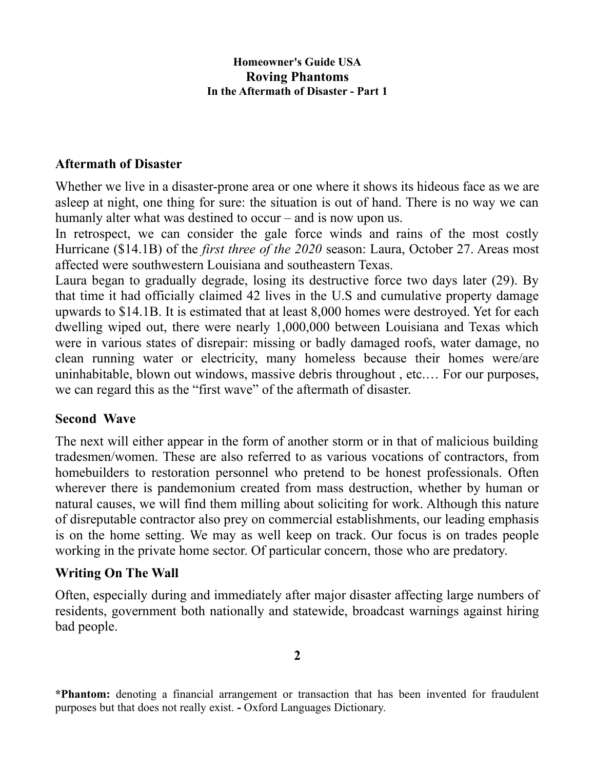## **Aftermath of Disaster**

Whether we live in a disaster-prone area or one where it shows its hideous face as we are asleep at night, one thing for sure: the situation is out of hand. There is no way we can humanly alter what was destined to occur – and is now upon us.

In retrospect, we can consider the gale force winds and rains of the most costly Hurricane (\$14.1B) of the *first three of the 2020* season: Laura, October 27. Areas most affected were southwestern Louisiana and southeastern Texas.

Laura began to gradually degrade, losing its destructive force two days later (29). By that time it had officially claimed 42 lives in the U.S and cumulative property damage upwards to \$14.1B. It is estimated that at least 8,000 homes were destroyed. Yet for each dwelling wiped out, there were nearly 1,000,000 between Louisiana and Texas which were in various states of disrepair: missing or badly damaged roofs, water damage, no clean running water or electricity, many homeless because their homes were/are uninhabitable, blown out windows, massive debris throughout , etc.… For our purposes, we can regard this as the "first wave" of the aftermath of disaster.

## **Second Wave**

The next will either appear in the form of another storm or in that of malicious building tradesmen/women. These are also referred to as various vocations of contractors, from homebuilders to restoration personnel who pretend to be honest professionals. Often wherever there is pandemonium created from mass destruction, whether by human or natural causes, we will find them milling about soliciting for work. Although this nature of disreputable contractor also prey on commercial establishments, our leading emphasis is on the home setting. We may as well keep on track. Our focus is on trades people working in the private home sector. Of particular concern, those who are predatory.

## **Writing On The Wall**

Often, especially during and immediately after major disaster affecting large numbers of residents, government both nationally and statewide, broadcast warnings against hiring bad people.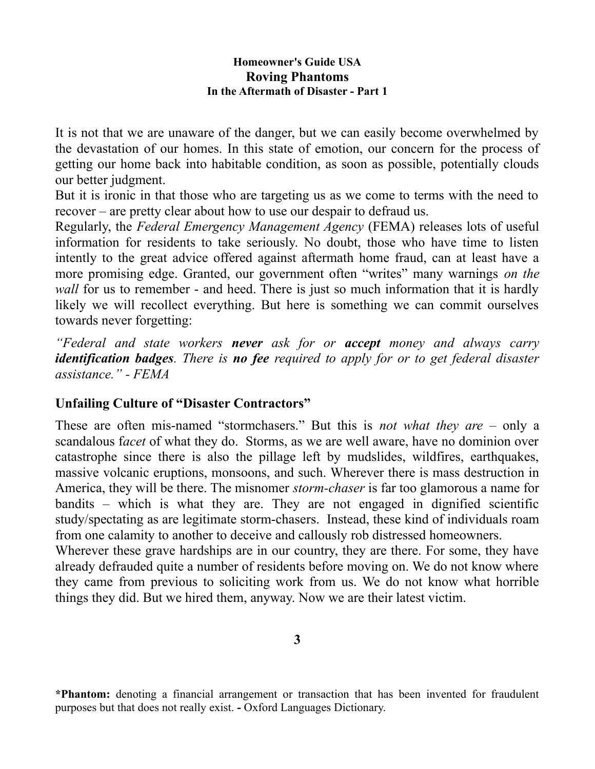It is not that we are unaware of the danger, but we can easily become overwhelmed by the devastation of our homes. In this state of emotion, our concern for the process of getting our home back into habitable condition, as soon as possible, potentially clouds our better judgment.

But it is ironic in that those who are targeting us as we come to terms with the need to recover – are pretty clear about how to use our despair to defraud us.

Regularly, the *Federal Emergency Management Agency* (FEMA) releases lots of useful information for residents to take seriously. No doubt, those who have time to listen intently to the great advice offered against aftermath home fraud, can at least have a more promising edge. Granted, our government often "writes" many warnings *on the wall* for us to remember - and heed. There is just so much information that it is hardly likely we will recollect everything. But here is something we can commit ourselves towards never forgetting:

*"Federal and state workers never ask for or accept money and always carry identification badges. There is no fee required to apply for or to get federal disaster assistance." - FEMA*

## **Unfailing Culture of "Disaster Contractors"**

These are often mis-named "stormchasers." But this is *not what they are* – only a scandalous f*acet* of what they do. Storms, as we are well aware, have no dominion over catastrophe since there is also the pillage left by mudslides, wildfires, earthquakes, massive volcanic eruptions, monsoons, and such. Wherever there is mass destruction in America, they will be there. The misnomer *storm-chaser* is far too glamorous a name for bandits – which is what they are. They are not engaged in dignified scientific study/spectating as are legitimate storm-chasers. Instead, these kind of individuals roam from one calamity to another to deceive and callously rob distressed homeowners.

Wherever these grave hardships are in our country, they are there. For some, they have already defrauded quite a number of residents before moving on. We do not know where they came from previous to soliciting work from us. We do not know what horrible things they did. But we hired them, anyway. Now we are their latest victim.

**3**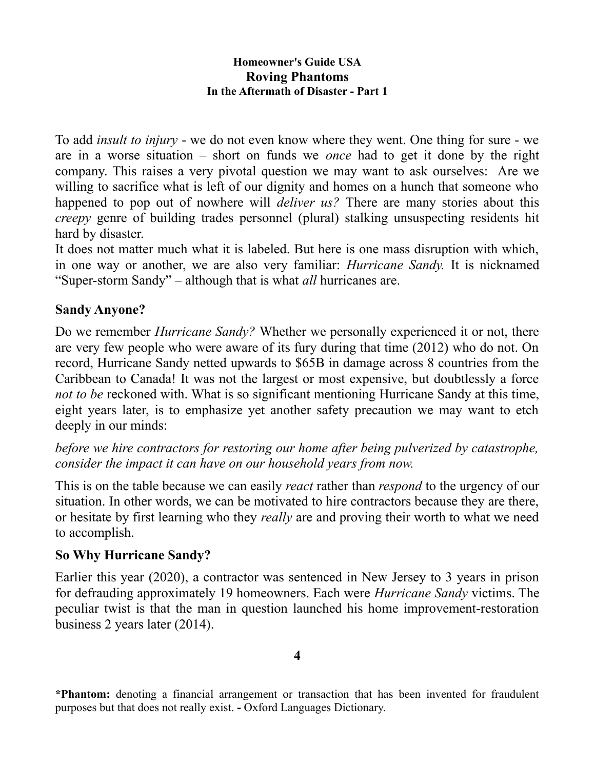To add *insult to injury* - we do not even know where they went. One thing for sure - we are in a worse situation – short on funds we *once* had to get it done by the right company. This raises a very pivotal question we may want to ask ourselves: Are we willing to sacrifice what is left of our dignity and homes on a hunch that someone who happened to pop out of nowhere will *deliver us?* There are many stories about this *creepy* genre of building trades personnel (plural) stalking unsuspecting residents hit hard by disaster.

It does not matter much what it is labeled. But here is one mass disruption with which, in one way or another, we are also very familiar: *Hurricane Sandy.* It is nicknamed "Super-storm Sandy" – although that is what *all* hurricanes are.

## **Sandy Anyone?**

Do we remember *Hurricane Sandy?* Whether we personally experienced it or not, there are very few people who were aware of its fury during that time (2012) who do not. On record, Hurricane Sandy netted upwards to \$65B in damage across 8 countries from the Caribbean to Canada! It was not the largest or most expensive, but doubtlessly a force *not to be* reckoned with. What is so significant mentioning Hurricane Sandy at this time, eight years later, is to emphasize yet another safety precaution we may want to etch deeply in our minds:

## *before we hire contractors for restoring our home after being pulverized by catastrophe, consider the impact it can have on our household years from now.*

This is on the table because we can easily *react* rather than *respond* to the urgency of our situation. In other words, we can be motivated to hire contractors because they are there, or hesitate by first learning who they *really* are and proving their worth to what we need to accomplish.

#### **So Why Hurricane Sandy?**

Earlier this year (2020), a contractor was sentenced in New Jersey to 3 years in prison for defrauding approximately 19 homeowners. Each were *Hurricane Sandy* victims. The peculiar twist is that the man in question launched his home improvement-restoration business 2 years later (2014).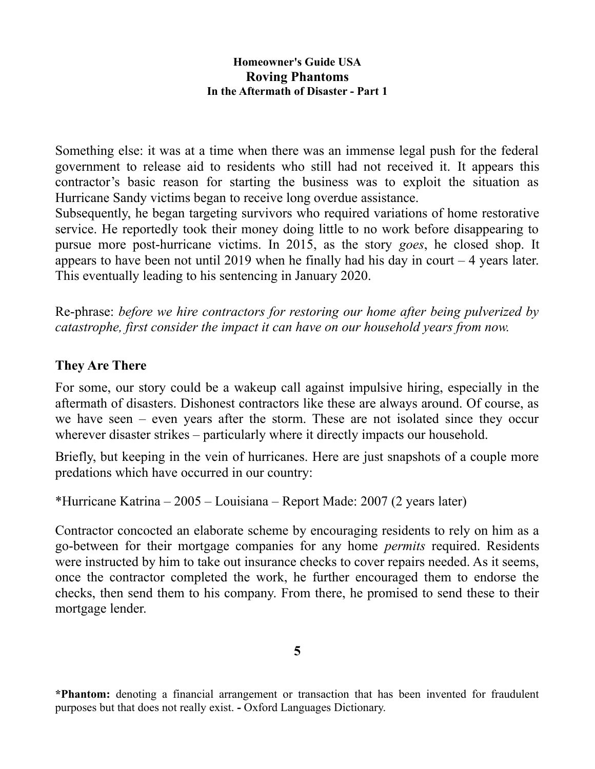Something else: it was at a time when there was an immense legal push for the federal government to release aid to residents who still had not received it. It appears this contractor's basic reason for starting the business was to exploit the situation as Hurricane Sandy victims began to receive long overdue assistance.

Subsequently, he began targeting survivors who required variations of home restorative service. He reportedly took their money doing little to no work before disappearing to pursue more post-hurricane victims. In 2015, as the story *goes*, he closed shop. It appears to have been not until 2019 when he finally had his day in court  $-4$  years later. This eventually leading to his sentencing in January 2020.

Re-phrase: *before we hire contractors for restoring our home after being pulverized by catastrophe, first consider the impact it can have on our household years from now.*

## **They Are There**

For some, our story could be a wakeup call against impulsive hiring, especially in the aftermath of disasters. Dishonest contractors like these are always around. Of course, as we have seen – even years after the storm. These are not isolated since they occur wherever disaster strikes – particularly where it directly impacts our household.

Briefly, but keeping in the vein of hurricanes. Here are just snapshots of a couple more predations which have occurred in our country:

\*Hurricane Katrina – 2005 – Louisiana – Report Made: 2007 (2 years later)

Contractor concocted an elaborate scheme by encouraging residents to rely on him as a go-between for their mortgage companies for any home *permits* required. Residents were instructed by him to take out insurance checks to cover repairs needed. As it seems, once the contractor completed the work, he further encouraged them to endorse the checks, then send them to his company. From there, he promised to send these to their mortgage lender.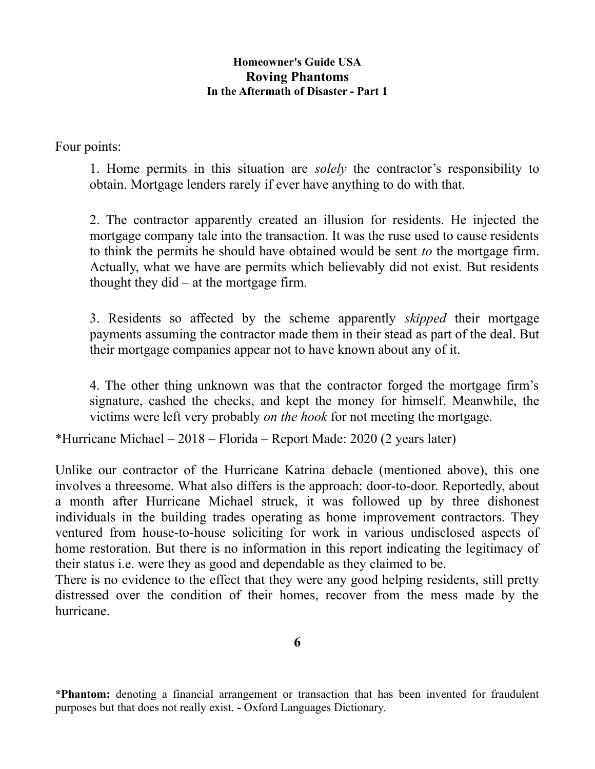Four points:

1. Home permits in this situation are *solely* the contractor's responsibility to obtain. Mortgage lenders rarely if ever have anything to do with that.

2. The contractor apparently created an illusion for residents. He injected the mortgage company tale into the transaction. It was the ruse used to cause residents to think the permits he should have obtained would be sent *to* the mortgage firm. Actually, what we have are permits which believably did not exist. But residents thought they did – at the mortgage firm.

3. Residents so affected by the scheme apparently *skipped* their mortgage payments assuming the contractor made them in their stead as part of the deal. But their mortgage companies appear not to have known about any of it.

4. The other thing unknown was that the contractor forged the mortgage firm's signature, cashed the checks, and kept the money for himself. Meanwhile, the victims were left very probably *on the hook* for not meeting the mortgage.

\*Hurricane Michael – 2018 – Florida – Report Made: 2020 (2 years later)

Unlike our contractor of the Hurricane Katrina debacle (mentioned above), this one involves a threesome. What also differs is the approach: door-to-door. Reportedly, about a month after Hurricane Michael struck, it was followed up by three dishonest individuals in the building trades operating as home improvement contractors. They ventured from house-to-house soliciting for work in various undisclosed aspects of home restoration. But there is no information in this report indicating the legitimacy of their status i.e. were they as good and dependable as they claimed to be.

There is no evidence to the effect that they were any good helping residents, still pretty distressed over the condition of their homes, recover from the mess made by the hurricane.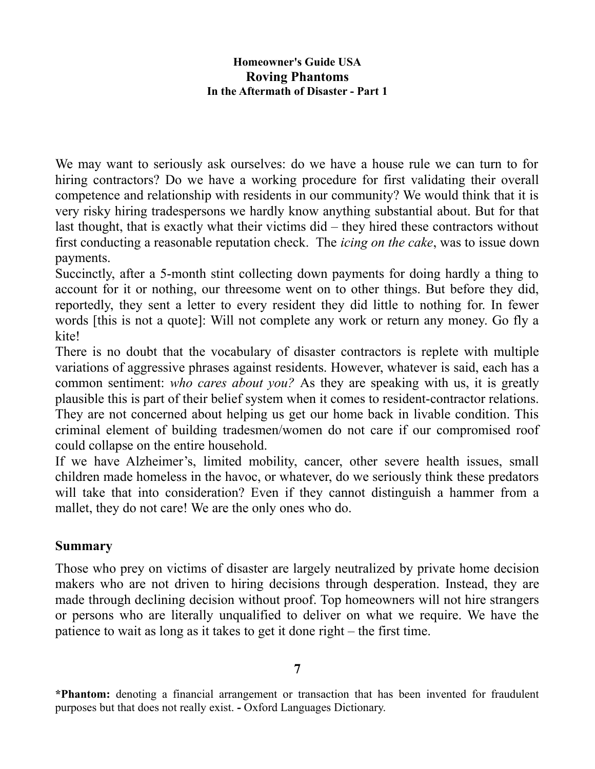We may want to seriously ask ourselves: do we have a house rule we can turn to for hiring contractors? Do we have a working procedure for first validating their overall competence and relationship with residents in our community? We would think that it is very risky hiring tradespersons we hardly know anything substantial about. But for that last thought, that is exactly what their victims did – they hired these contractors without first conducting a reasonable reputation check. The *icing on the cake*, was to issue down payments.

Succinctly, after a 5-month stint collecting down payments for doing hardly a thing to account for it or nothing, our threesome went on to other things. But before they did, reportedly, they sent a letter to every resident they did little to nothing for. In fewer words [this is not a quote]: Will not complete any work or return any money. Go fly a kite!

There is no doubt that the vocabulary of disaster contractors is replete with multiple variations of aggressive phrases against residents. However, whatever is said, each has a common sentiment: *who cares about you?* As they are speaking with us, it is greatly plausible this is part of their belief system when it comes to resident-contractor relations. They are not concerned about helping us get our home back in livable condition. This criminal element of building tradesmen/women do not care if our compromised roof could collapse on the entire household.

If we have Alzheimer's, limited mobility, cancer, other severe health issues, small children made homeless in the havoc, or whatever, do we seriously think these predators will take that into consideration? Even if they cannot distinguish a hammer from a mallet, they do not care! We are the only ones who do.

## **Summary**

Those who prey on victims of disaster are largely neutralized by private home decision makers who are not driven to hiring decisions through desperation. Instead, they are made through declining decision without proof. Top homeowners will not hire strangers or persons who are literally unqualified to deliver on what we require. We have the patience to wait as long as it takes to get it done right – the first time.

**<sup>7</sup>**

**<sup>\*</sup>Phantom:** denoting a financial arrangement or transaction that has been invented for fraudulent purposes but that does not really exist. **-** Oxford Languages Dictionary.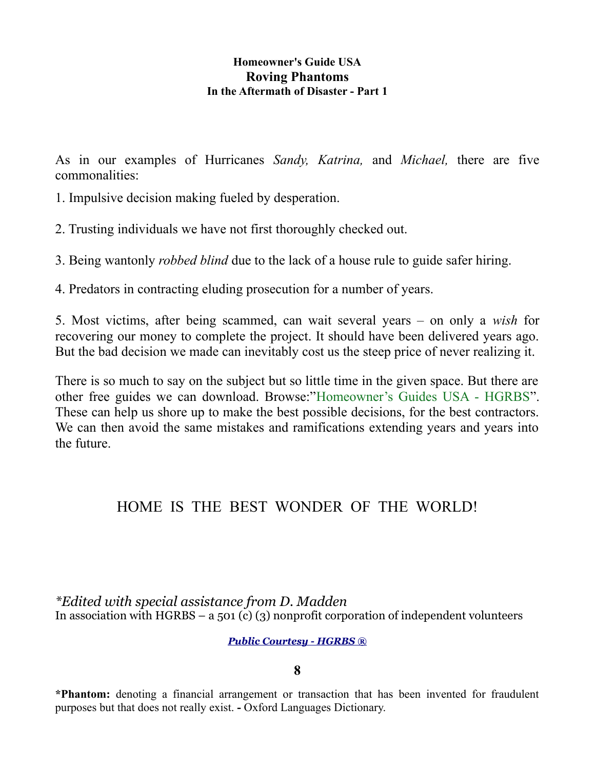As in our examples of Hurricanes *Sandy, Katrina,* and *Michael,* there are five commonalities:

1. Impulsive decision making fueled by desperation.

2. Trusting individuals we have not first thoroughly checked out.

3. Being wantonly *robbed blind* due to the lack of a house rule to guide safer hiring.

4. Predators in contracting eluding prosecution for a number of years.

5. Most victims, after being scammed, can wait several years – on only a *wish* for recovering our money to complete the project. It should have been delivered years ago. But the bad decision we made can inevitably cost us the steep price of never realizing it.

There is so much to say on the subject but so little time in the given space. But there are other free guides we can download. Browse:"Homeowner's Guides USA - HGRBS". These can help us shore up to make the best possible decisions, for the best contractors. We can then avoid the same mistakes and ramifications extending years and years into the future.

## HOME IS THE BEST WONDER OF THE WORLD!

*\*Edited with special assistance from D. Madden*  In association with HGRBS – a 501 (c) (3) nonprofit corporation of independent volunteers

#### *Public Courtesy - HGRBS ®*

**8**